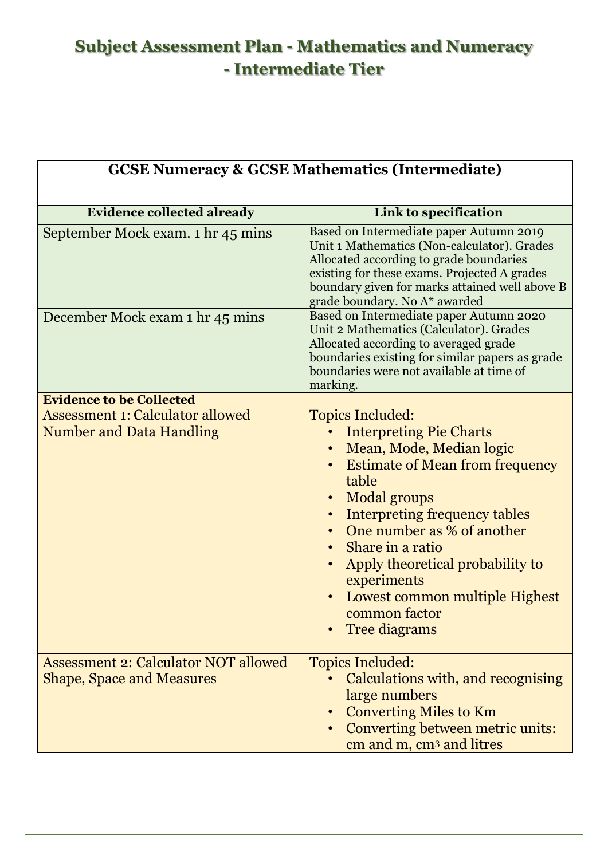| <b>GCSE Numeracy &amp; GCSE Mathematics (Intermediate)</b>                      |                                                                                                                                                                                                                                                                                                                                                                                    |  |
|---------------------------------------------------------------------------------|------------------------------------------------------------------------------------------------------------------------------------------------------------------------------------------------------------------------------------------------------------------------------------------------------------------------------------------------------------------------------------|--|
| <b>Evidence collected already</b>                                               | Link to specification                                                                                                                                                                                                                                                                                                                                                              |  |
| September Mock exam. 1 hr 45 mins                                               | Based on Intermediate paper Autumn 2019<br>Unit 1 Mathematics (Non-calculator). Grades<br>Allocated according to grade boundaries<br>existing for these exams. Projected A grades<br>boundary given for marks attained well above B<br>grade boundary. No A* awarded                                                                                                               |  |
| December Mock exam 1 hr 45 mins                                                 | Based on Intermediate paper Autumn 2020<br>Unit 2 Mathematics (Calculator). Grades<br>Allocated according to averaged grade<br>boundaries existing for similar papers as grade<br>boundaries were not available at time of<br>marking.                                                                                                                                             |  |
| <b>Evidence to be Collected</b>                                                 |                                                                                                                                                                                                                                                                                                                                                                                    |  |
| <b>Assessment 1: Calculator allowed</b><br><b>Number and Data Handling</b>      | <b>Topics Included:</b><br><b>Interpreting Pie Charts</b><br>Mean, Mode, Median logic<br><b>Estimate of Mean from frequency</b><br>table<br>Modal groups<br><b>Interpreting frequency tables</b><br>One number as % of another<br>• Share in a ratio<br>Apply theoretical probability to<br>experiments<br>Lowest common multiple Highest<br>common factor<br><b>Tree diagrams</b> |  |
| <b>Assessment 2: Calculator NOT allowed</b><br><b>Shape, Space and Measures</b> | <b>Topics Included:</b><br>Calculations with, and recognising<br>large numbers<br><b>Converting Miles to Km</b><br>Converting between metric units:<br>cm and m, cm <sup>3</sup> and litres                                                                                                                                                                                        |  |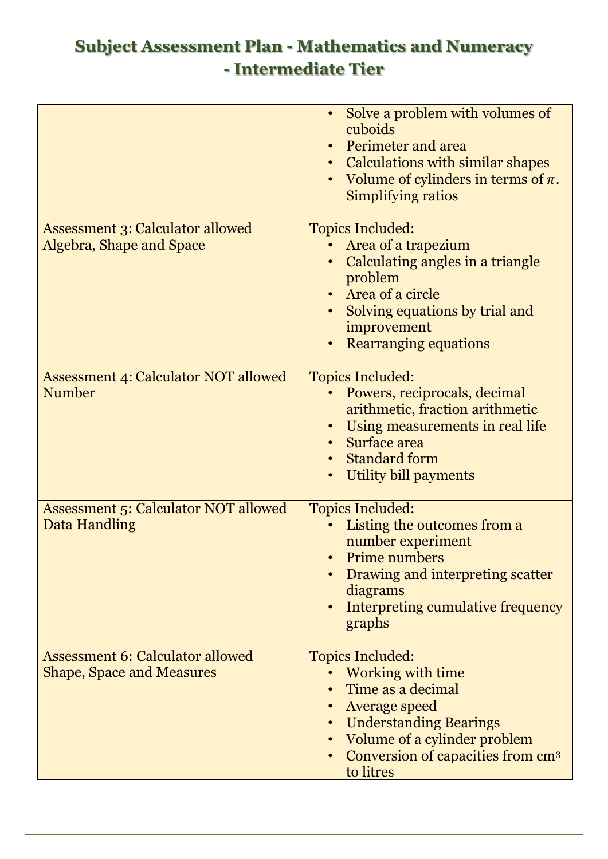|                                                                             | Solve a problem with volumes of<br>cuboids<br>• Perimeter and area<br>• Calculations with similar shapes<br>Volume of cylinders in terms of $\pi$ .<br>Simplifying ratios                                         |
|-----------------------------------------------------------------------------|-------------------------------------------------------------------------------------------------------------------------------------------------------------------------------------------------------------------|
| <b>Assessment 3: Calculator allowed</b><br>Algebra, Shape and Space         | <b>Topics Included:</b><br>Area of a trapezium<br>Calculating angles in a triangle<br>problem<br>• Area of a circle<br>Solving equations by trial and<br>improvement<br><b>Rearranging equations</b>              |
| <b>Assessment 4: Calculator NOT allowed</b><br>Number                       | <b>Topics Included:</b><br>Powers, reciprocals, decimal<br>arithmetic, fraction arithmetic<br>Using measurements in real life<br>• Surface area<br><b>Standard form</b><br>Utility bill payments                  |
| <b>Assessment 5: Calculator NOT allowed</b><br>Data Handling                | <b>Topics Included:</b><br>Listing the outcomes from a<br>number experiment<br>Prime numbers<br>Drawing and interpreting scatter<br>diagrams<br>Interpreting cumulative frequency<br>graphs                       |
| <b>Assessment 6: Calculator allowed</b><br><b>Shape, Space and Measures</b> | <b>Topics Included:</b><br>Working with time<br>Time as a decimal<br>Average speed<br><b>Understanding Bearings</b><br>Volume of a cylinder problem<br>Conversion of capacities from cm <sup>3</sup><br>to litres |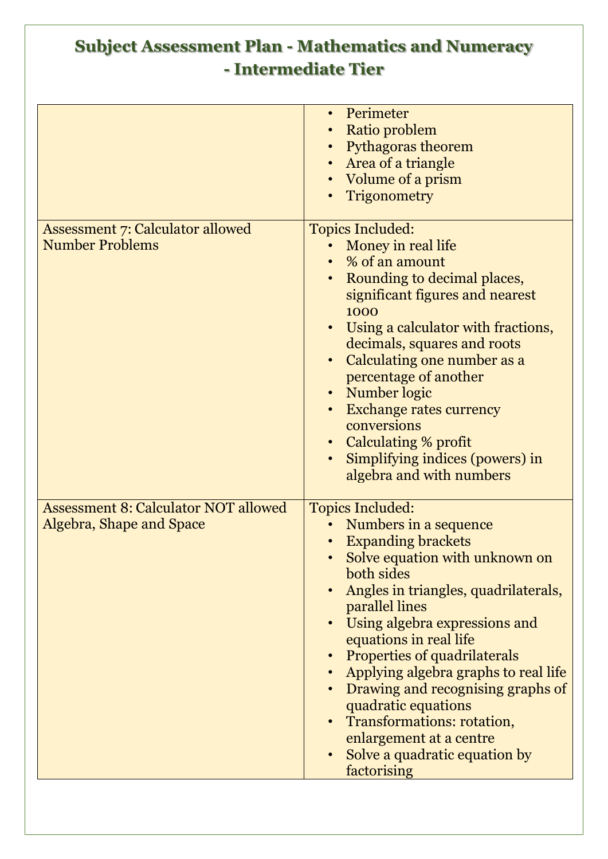|                                                                         | Perimeter<br>Ratio problem<br>• Pythagoras theorem<br>• Area of a triangle<br>Volume of a prism<br>Trigonometry                                                                                                                                                                                                                                                                                                                                                                                        |
|-------------------------------------------------------------------------|--------------------------------------------------------------------------------------------------------------------------------------------------------------------------------------------------------------------------------------------------------------------------------------------------------------------------------------------------------------------------------------------------------------------------------------------------------------------------------------------------------|
| <b>Assessment 7: Calculator allowed</b><br><b>Number Problems</b>       | <b>Topics Included:</b><br>Money in real life<br>• % of an amount<br>Rounding to decimal places,<br>significant figures and nearest<br>1000<br>Using a calculator with fractions,<br>decimals, squares and roots<br>Calculating one number as a<br>percentage of another<br>• Number logic<br><b>Exchange rates currency</b><br>conversions<br>• Calculating % profit<br>Simplifying indices (powers) in<br>algebra and with numbers                                                                   |
| <b>Assessment 8: Calculator NOT allowed</b><br>Algebra, Shape and Space | <b>Topics Included:</b><br>Numbers in a sequence<br><b>Expanding brackets</b><br>Solve equation with unknown on<br>both sides<br>Angles in triangles, quadrilaterals,<br>parallel lines<br>Using algebra expressions and<br>equations in real life<br><b>Properties of quadrilaterals</b><br>Applying algebra graphs to real life<br>Drawing and recognising graphs of<br>quadratic equations<br>Transformations: rotation,<br>enlargement at a centre<br>Solve a quadratic equation by<br>factorising |